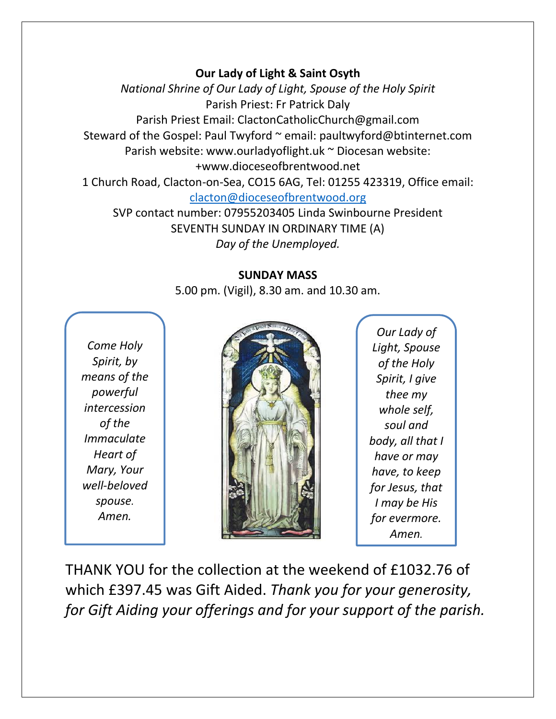## **Our Lady of Light & Saint Osyth**

*National Shrine of Our Lady of Light, Spouse of the Holy Spirit* Parish Priest: Fr Patrick Daly Parish Priest Email: ClactonCatholicChurch@gmail.com Steward of the Gospel: Paul Twyford ~ email: paultwyford@btinternet.com Parish website: www.ourladyoflight.uk ~ Diocesan website: +www.dioceseofbrentwood.net 1 Church Road, Clacton-on-Sea, CO15 6AG, Tel: 01255 423319, Office email: [clacton@dioceseofbrentwood.org](mailto:clacton@dioceseofbrentwood.org) SVP contact number: 07955203405 Linda Swinbourne President

SEVENTH SUNDAY IN ORDINARY TIME (A) *Day of the Unemployed.*

## **SUNDAY MASS**

5.00 pm. (Vigil), 8.30 am. and 10.30 am.

*Come Holy Spirit, by means of the powerful intercession of the Immaculate Heart of Mary, Your well-beloved spouse. Amen.*



*Our Lady of Light, Spouse of the Holy Spirit, I give thee my whole self, soul and body, all that I have or may have, to keep for Jesus, that I may be His for evermore. Amen.*

THANK YOU for the collection at the weekend of £1032.76 of which £397.45 was Gift Aided. *Thank you for your generosity, for Gift Aiding your offerings and for your support of the parish.*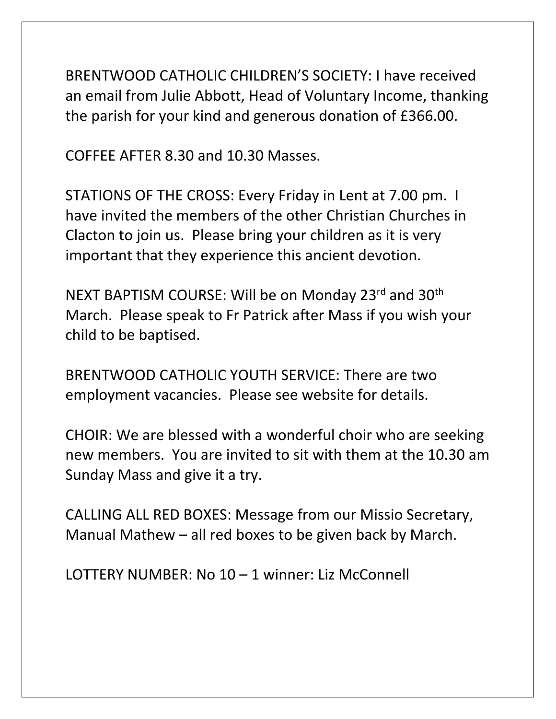BRENTWOOD CATHOLIC CHILDREN'S SOCIETY: I have received an email from Julie Abbott, Head of Voluntary Income, thanking the parish for your kind and generous donation of £366.00.

COFFEE AFTER 8.30 and 10.30 Masses.

STATIONS OF THE CROSS: Every Friday in Lent at 7.00 pm. I have invited the members of the other Christian Churches in Clacton to join us. Please bring your children as it is very important that they experience this ancient devotion.

NEXT BAPTISM COURSE: Will be on Monday 23rd and 30<sup>th</sup> March. Please speak to Fr Patrick after Mass if you wish your child to be baptised.

BRENTWOOD CATHOLIC YOUTH SERVICE: There are two employment vacancies. Please see website for details.

CHOIR: We are blessed with a wonderful choir who are seeking new members. You are invited to sit with them at the 10.30 am Sunday Mass and give it a try.

CALLING ALL RED BOXES: Message from our Missio Secretary, Manual Mathew – all red boxes to be given back by March.

LOTTERY NUMBER: No 10 – 1 winner: Liz McConnell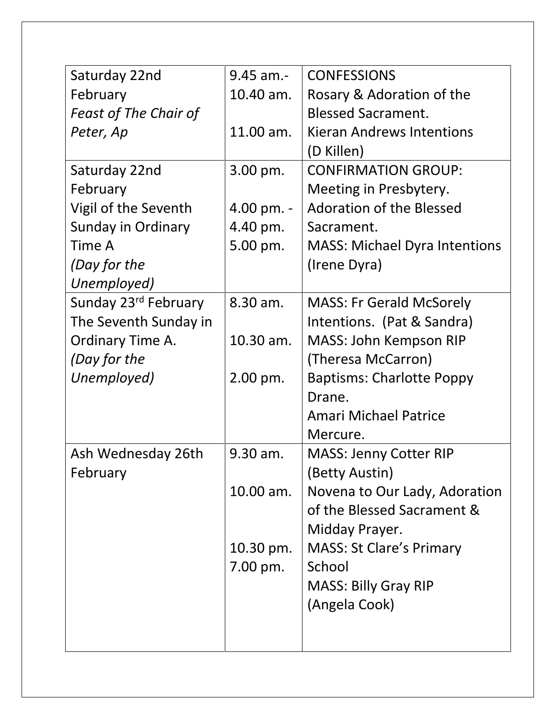| Saturday 22nd                    | $9.45$ am.- | <b>CONFESSIONS</b>                   |
|----------------------------------|-------------|--------------------------------------|
| February                         | 10.40 am.   | Rosary & Adoration of the            |
| <b>Feast of The Chair of</b>     |             | <b>Blessed Sacrament.</b>            |
| Peter, Ap                        | 11.00 am.   | <b>Kieran Andrews Intentions</b>     |
|                                  |             | (D Killen)                           |
| Saturday 22nd                    | 3.00 pm.    | <b>CONFIRMATION GROUP:</b>           |
| February                         |             | Meeting in Presbytery.               |
| Vigil of the Seventh             | 4.00 pm. -  | <b>Adoration of the Blessed</b>      |
| Sunday in Ordinary               | 4.40 pm.    | Sacrament.                           |
| Time A                           | 5.00 pm.    | <b>MASS: Michael Dyra Intentions</b> |
| (Day for the                     |             | (Irene Dyra)                         |
| Unemployed)                      |             |                                      |
| Sunday 23 <sup>rd</sup> February | 8.30 am.    | <b>MASS: Fr Gerald McSorely</b>      |
| The Seventh Sunday in            |             | Intentions. (Pat & Sandra)           |
| Ordinary Time A.                 | 10.30 am.   | <b>MASS: John Kempson RIP</b>        |
| (Day for the                     |             | (Theresa McCarron)                   |
| Unemployed)                      | $2.00$ pm.  | <b>Baptisms: Charlotte Poppy</b>     |
|                                  |             | Drane.                               |
|                                  |             | <b>Amari Michael Patrice</b>         |
|                                  |             | Mercure.                             |
| Ash Wednesday 26th               | 9.30 am.    | <b>MASS: Jenny Cotter RIP</b>        |
| February                         |             | (Betty Austin)                       |
|                                  | 10.00 am.   | Novena to Our Lady, Adoration        |
|                                  |             | of the Blessed Sacrament &           |
|                                  |             | Midday Prayer.                       |
|                                  | 10.30 pm.   | <b>MASS: St Clare's Primary</b>      |
|                                  | 7.00 pm.    | School                               |
|                                  |             | <b>MASS: Billy Gray RIP</b>          |
|                                  |             | (Angela Cook)                        |
|                                  |             |                                      |
|                                  |             |                                      |